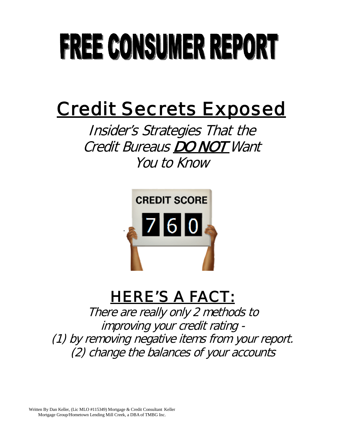# **FREE CONSUMER REPORT**

# Credit Secrets Exposed

Insider's Strategies That the Credit Bureaus DO NOT Want You to Know



# HERE'S A FACT:

There are really only 2 methods to improving your credit rating - (1) by removing negative items from your report. (2) change the balances of your accounts

Written By Dan Keller, (Lic MLO #115349) Mortgage & Credit Consultant Keller Mortgage Group/Hometown Lending Mill Creek, a DBAof TMBG Inc.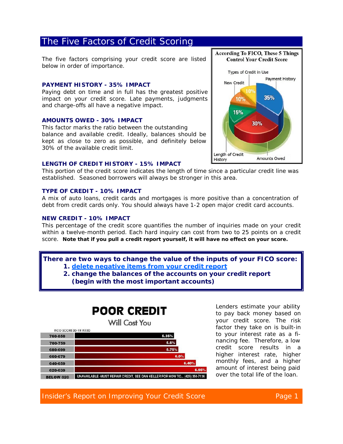# The Five Factors of Credit Scoring

The five factors comprising your credit score are listed below in order of importance.

#### **PAYMENT HISTORY - 35% IMPACT**

Paying debt on time and in full has the greatest positive impact on your credit score. Late payments, judgments and charge-offs all have a negative impact.

#### **AMOUNTS OWED - 30% IMPACT**

This factor marks the ratio between the outstanding balance and available credit. Ideally, balances should be kept as close to zero as possible, and definitely below 30% of the available credit limit.



#### **LENGTH OF CREDIT HISTORY - 15% IMPACT**

This portion of the credit score indicates the length of time since a particular credit line was established. Seasoned borrowers will always be stronger in this area.

#### **TYPE OF CREDIT - 10% IMPACT**

A mix of auto loans, credit cards and mortgages is more positive than a concentration of debt from credit cards only. You should always have 1-2 open major credit card accounts.

#### **NEW CREDIT - 10% IMPACT**

This percentage of the credit score quantifies the number of inquiries made on your credit within a twelve-month period. Each hard inquiry can cost from two to 25 points on a credit score. *Note that if you pull a credit report yourself, it will have no effect on your score.*

*There are two ways to change the value of the inputs of your FICO score:*

- *1. delete negative items from your credit report*
- *2. change the balances of the accounts on your credit report (begin with the most important accounts)*

# **POOR CREDIT**



Lenders estimate your ability to pay back money based on your credit score. The risk factor they take on is built-in to your interest rate as a financing fee. Therefore, a low credit score results in a higher interest rate, higher monthly fees, and a higher amount of interest being paid over the total life of the loan.

*Insider's Report on Improving Your Credit Score Page 1*